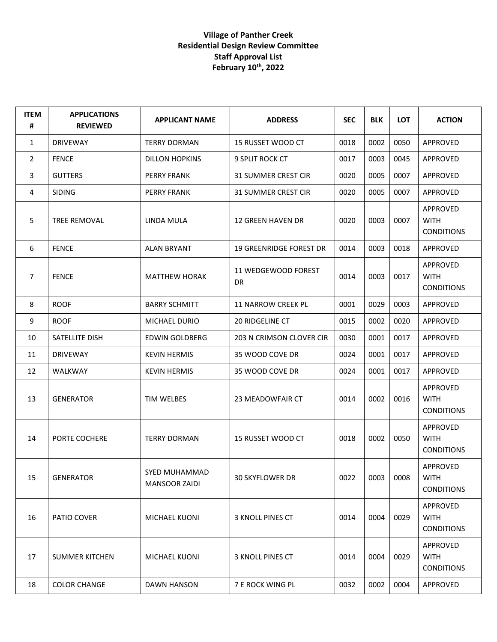## **Village of Panther Creek Residential Design Review Committee Staff Approval List February 10th, 2022**

| <b>ITEM</b><br># | <b>APPLICATIONS</b><br><b>REVIEWED</b> | <b>APPLICANT NAME</b>                 | <b>ADDRESS</b>                 | <b>SEC</b> | <b>BLK</b> | LOT  | <b>ACTION</b>                                       |
|------------------|----------------------------------------|---------------------------------------|--------------------------------|------------|------------|------|-----------------------------------------------------|
| $\mathbf{1}$     | <b>DRIVEWAY</b>                        | <b>TERRY DORMAN</b>                   | 15 RUSSET WOOD CT              | 0018       | 0002       | 0050 | APPROVED                                            |
| $\overline{2}$   | <b>FENCE</b>                           | <b>DILLON HOPKINS</b>                 | <b>9 SPLIT ROCK CT</b>         | 0017       | 0003       | 0045 | APPROVED                                            |
| 3                | <b>GUTTERS</b>                         | <b>PERRY FRANK</b>                    | <b>31 SUMMER CREST CIR</b>     | 0020       | 0005       | 0007 | APPROVED                                            |
| 4                | <b>SIDING</b>                          | <b>PERRY FRANK</b>                    | <b>31 SUMMER CREST CIR</b>     | 0020       | 0005       | 0007 | APPROVED                                            |
| 5                | TREE REMOVAL                           | LINDA MULA                            | <b>12 GREEN HAVEN DR</b>       | 0020       | 0003       | 0007 | APPROVED<br><b>WITH</b><br><b>CONDITIONS</b>        |
| 6                | <b>FENCE</b>                           | <b>ALAN BRYANT</b>                    | <b>19 GREENRIDGE FOREST DR</b> | 0014       | 0003       | 0018 | APPROVED                                            |
| 7                | <b>FENCE</b>                           | <b>MATTHEW HORAK</b>                  | 11 WEDGEWOOD FOREST<br>DR      | 0014       | 0003       | 0017 | APPROVED<br><b>WITH</b><br><b>CONDITIONS</b>        |
| 8                | <b>ROOF</b>                            | <b>BARRY SCHMITT</b>                  | 11 NARROW CREEK PL             | 0001       | 0029       | 0003 | APPROVED                                            |
| 9                | <b>ROOF</b>                            | MICHAEL DURIO                         | <b>20 RIDGELINE CT</b>         | 0015       | 0002       | 0020 | APPROVED                                            |
| 10               | SATELLITE DISH                         | EDWIN GOLDBERG                        | 203 N CRIMSON CLOVER CIR       | 0030       | 0001       | 0017 | APPROVED                                            |
| 11               | <b>DRIVEWAY</b>                        | <b>KEVIN HERMIS</b>                   | 35 WOOD COVE DR                | 0024       | 0001       | 0017 | APPROVED                                            |
| 12               | <b>WALKWAY</b>                         | <b>KEVIN HERMIS</b>                   | 35 WOOD COVE DR                | 0024       | 0001       | 0017 | APPROVED                                            |
| 13               | <b>GENERATOR</b>                       | TIM WELBES                            | 23 MEADOWFAIR CT               | 0014       | 0002       | 0016 | <b>APPROVED</b><br><b>WITH</b><br><b>CONDITIONS</b> |
| 14               | PORTE COCHERE                          | <b>TERRY DORMAN</b>                   | 15 RUSSET WOOD CT              | 0018       | 0002       | 0050 | APPROVED<br><b>WITH</b><br><b>CONDITIONS</b>        |
| 15               | <b>GENERATOR</b>                       | SYED MUHAMMAD<br><b>MANSOOR ZAIDI</b> | 30 SKYFLOWER DR                | 0022       | 0003       | 0008 | APPROVED<br><b>WITH</b><br><b>CONDITIONS</b>        |
| 16               | PATIO COVER                            | <b>MICHAEL KUONI</b>                  | 3 KNOLL PINES CT               | 0014       | 0004       | 0029 | APPROVED<br><b>WITH</b><br><b>CONDITIONS</b>        |
| 17               | <b>SUMMER KITCHEN</b>                  | MICHAEL KUONI                         | 3 KNOLL PINES CT               | 0014       | 0004       | 0029 | APPROVED<br><b>WITH</b><br><b>CONDITIONS</b>        |
| 18               | <b>COLOR CHANGE</b>                    | DAWN HANSON                           | 7 E ROCK WING PL               | 0032       | 0002       | 0004 | APPROVED                                            |